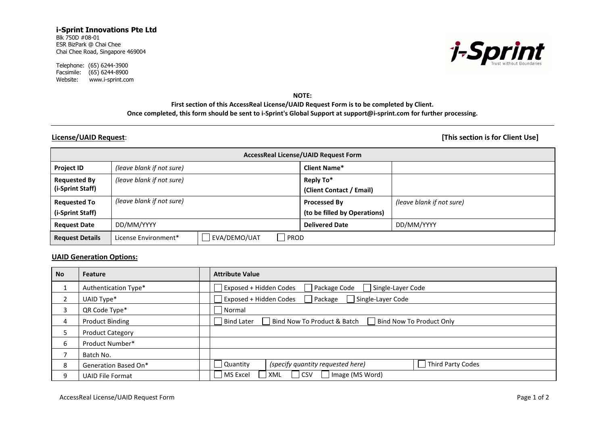### **i-Sprint Innovations Pte Ltd** Blk 750D #08-01 ESR BizPark @ Chai Chee Chai Chee Road, Singapore 469004

Telephone: (65) 6244-3900 Facsimile: (65) 6244-8900 Website: www.i-sprint.com



**NOTE:**

## **First section of this AccessReal License/UAID Request Form is to be completed by Client. Once completed, this form should be sent to i-Sprint's Global Support at [support@i-sprint.com](mailto:support@i-sprint.com) for further processing.**

**License/UAID Request**: **[This section is for Client Use]**

| <b>AccessReal License/UAID Request Form</b> |                                              |                              |                           |  |  |  |  |
|---------------------------------------------|----------------------------------------------|------------------------------|---------------------------|--|--|--|--|
| <b>Project ID</b>                           | (leave blank if not sure)                    | <b>Client Name*</b>          |                           |  |  |  |  |
| <b>Requested By</b>                         | (leave blank if not sure)                    | Reply To*                    |                           |  |  |  |  |
| (i-Sprint Staff)                            |                                              | (Client Contact / Email)     |                           |  |  |  |  |
| <b>Requested To</b>                         | (leave blank if not sure)                    | Processed By                 | (leave blank if not sure) |  |  |  |  |
| (i-Sprint Staff)                            |                                              | (to be filled by Operations) |                           |  |  |  |  |
| <b>Request Date</b>                         | DD/MM/YYYY                                   | <b>Delivered Date</b>        | DD/MM/YYYY                |  |  |  |  |
| <b>Request Details</b>                      | EVA/DEMO/UAT<br>PROD<br>License Environment* |                              |                           |  |  |  |  |

# **UAID Generation Options:**

| <b>No</b> | Feature                 | <b>Attribute Value</b>                                                       |
|-----------|-------------------------|------------------------------------------------------------------------------|
|           | Authentication Type*    | Package Code<br>Exposed + Hidden Codes<br>Single-Layer Code                  |
|           | UAID Type*              | Exposed + Hidden Codes<br>Single-Layer Code<br>Package                       |
| 3         | QR Code Type*           | Normal                                                                       |
| 4         | <b>Product Binding</b>  | Bind Now To Product & Batch<br><b>Bind Later</b><br>Bind Now To Product Only |
|           | <b>Product Category</b> |                                                                              |
| 6         | Product Number*         |                                                                              |
|           | Batch No.               |                                                                              |
| 8         | Generation Based On*    | Third Party Codes<br>(specify quantity requested here)<br>Quantity           |
| 9         | <b>UAID File Format</b> | J Image (MS Word)<br><b>CSV</b><br>MS Excel<br>XML                           |